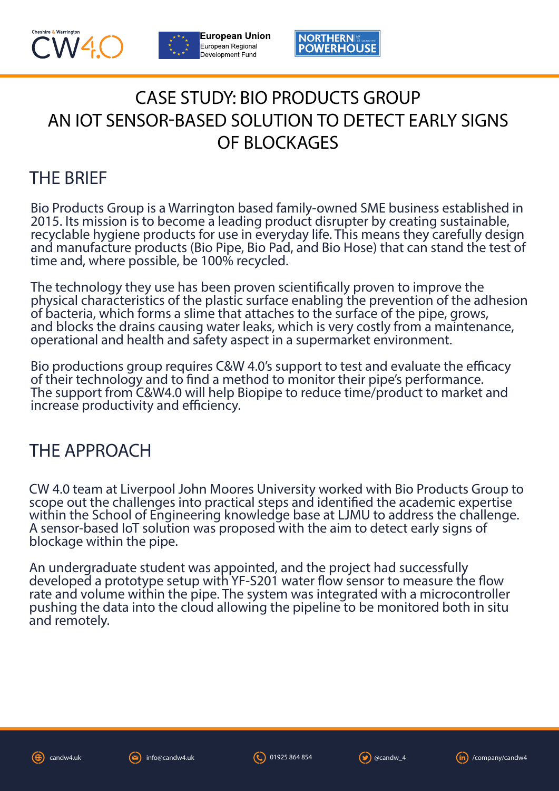



**European Union NORTHERNI** European Regional **POWERHOUSE** Development Fund

## CASE STUDY: BIO PRODUCTS GROUP AN IOT SENSOR-BASED SOLUTION TO DETECT EARLY SIGNS OF BLOCKAGES

## THE BRIEF

Bio Products Group is a Warrington based family-owned SME business established in 2015. Its mission is to become a leading product disrupter by creating sustainable, recyclable hygiene products for use in everyday life. This means they carefully design and manufacture products (Bio Pipe, Bio Pad, and Bio Hose) that can stand the test of time and, where possible, be 100% recycled.

The technology they use has been proven scientifically proven to improve the physical characteristics of the plastic surface enabling the prevention of the adhesion of bacteria, which forms a slime that attaches to the surface of the pipe, grows, and blocks the drains causing water leaks, which is very costly from a maintenance, operational and health and safety aspect in a supermarket environment.

Bio productions group requires C&W 4.0's support to test and evaluate the efficacy of their technology and to find a method to monitor their pipe's performance. The support from C&W4.0 will help Biopipe to reduce time/product to market and increase productivity and efficiency.

## THE APPROACH

CW 4.0 team at Liverpool John Moores University worked with Bio Products Group to scope out the challenges into practical steps and identified the academic expertise within the School of Engineering knowledge base at LJMU to address the challenge. A sensor-based IoT solution was proposed with the aim to detect early signs of blockage within the pipe.

An undergraduate student was appointed, and the project had successfully developed a prototype setup with YF-S201 water flow sensor to measure the flow rate and volume within the pipe. The system was integrated with a microcontroller pushing the data into the cloud allowing the pipeline to be monitored both in situ and remotely.